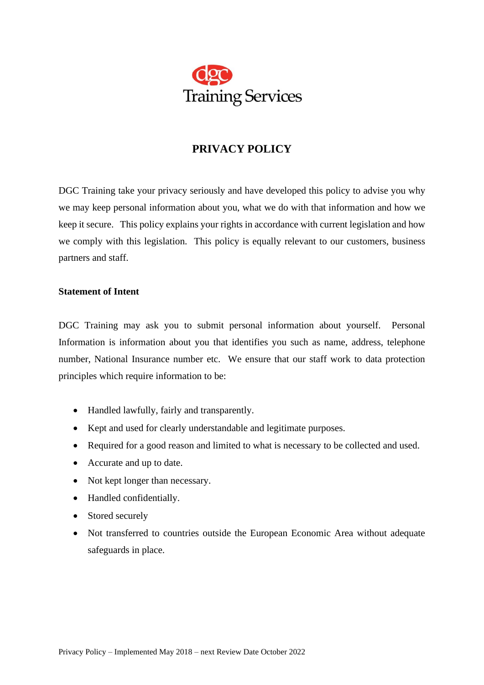

# **PRIVACY POLICY**

DGC Training take your privacy seriously and have developed this policy to advise you why we may keep personal information about you, what we do with that information and how we keep it secure. This policy explains your rights in accordance with current legislation and how we comply with this legislation. This policy is equally relevant to our customers, business partners and staff.

## **Statement of Intent**

DGC Training may ask you to submit personal information about yourself. Personal Information is information about you that identifies you such as name, address, telephone number, National Insurance number etc. We ensure that our staff work to data protection principles which require information to be:

- Handled lawfully, fairly and transparently.
- Kept and used for clearly understandable and legitimate purposes.
- Required for a good reason and limited to what is necessary to be collected and used.
- Accurate and up to date.
- Not kept longer than necessary.
- Handled confidentially.
- Stored securely
- Not transferred to countries outside the European Economic Area without adequate safeguards in place.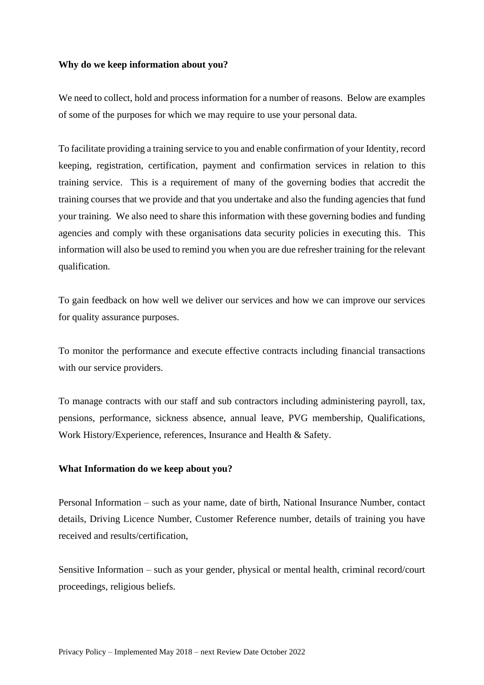#### **Why do we keep information about you?**

We need to collect, hold and process information for a number of reasons. Below are examples of some of the purposes for which we may require to use your personal data.

To facilitate providing a training service to you and enable confirmation of your Identity, record keeping, registration, certification, payment and confirmation services in relation to this training service. This is a requirement of many of the governing bodies that accredit the training courses that we provide and that you undertake and also the funding agencies that fund your training. We also need to share this information with these governing bodies and funding agencies and comply with these organisations data security policies in executing this. This information will also be used to remind you when you are due refresher training for the relevant qualification.

To gain feedback on how well we deliver our services and how we can improve our services for quality assurance purposes.

To monitor the performance and execute effective contracts including financial transactions with our service providers.

To manage contracts with our staff and sub contractors including administering payroll, tax, pensions, performance, sickness absence, annual leave, PVG membership, Qualifications, Work History/Experience, references, Insurance and Health & Safety.

#### **What Information do we keep about you?**

Personal Information – such as your name, date of birth, National Insurance Number, contact details, Driving Licence Number, Customer Reference number, details of training you have received and results/certification,

Sensitive Information – such as your gender, physical or mental health, criminal record/court proceedings, religious beliefs.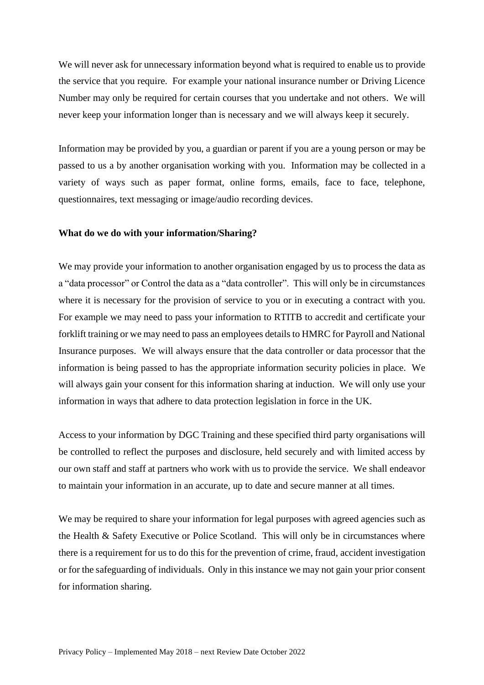We will never ask for unnecessary information beyond what is required to enable us to provide the service that you require. For example your national insurance number or Driving Licence Number may only be required for certain courses that you undertake and not others. We will never keep your information longer than is necessary and we will always keep it securely.

Information may be provided by you, a guardian or parent if you are a young person or may be passed to us a by another organisation working with you. Information may be collected in a variety of ways such as paper format, online forms, emails, face to face, telephone, questionnaires, text messaging or image/audio recording devices.

#### **What do we do with your information/Sharing?**

We may provide your information to another organisation engaged by us to process the data as a "data processor" or Control the data as a "data controller". This will only be in circumstances where it is necessary for the provision of service to you or in executing a contract with you. For example we may need to pass your information to RTITB to accredit and certificate your forklift training or we may need to pass an employees details to HMRC for Payroll and National Insurance purposes. We will always ensure that the data controller or data processor that the information is being passed to has the appropriate information security policies in place. We will always gain your consent for this information sharing at induction. We will only use your information in ways that adhere to data protection legislation in force in the UK.

Access to your information by DGC Training and these specified third party organisations will be controlled to reflect the purposes and disclosure, held securely and with limited access by our own staff and staff at partners who work with us to provide the service. We shall endeavor to maintain your information in an accurate, up to date and secure manner at all times.

We may be required to share your information for legal purposes with agreed agencies such as the Health & Safety Executive or Police Scotland. This will only be in circumstances where there is a requirement for us to do this for the prevention of crime, fraud, accident investigation or for the safeguarding of individuals. Only in this instance we may not gain your prior consent for information sharing.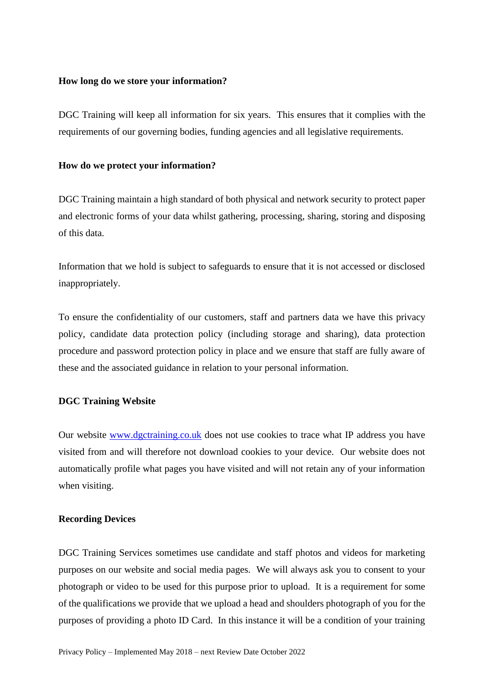#### **How long do we store your information?**

DGC Training will keep all information for six years. This ensures that it complies with the requirements of our governing bodies, funding agencies and all legislative requirements.

#### **How do we protect your information?**

DGC Training maintain a high standard of both physical and network security to protect paper and electronic forms of your data whilst gathering, processing, sharing, storing and disposing of this data.

Information that we hold is subject to safeguards to ensure that it is not accessed or disclosed inappropriately.

To ensure the confidentiality of our customers, staff and partners data we have this privacy policy, candidate data protection policy (including storage and sharing), data protection procedure and password protection policy in place and we ensure that staff are fully aware of these and the associated guidance in relation to your personal information.

## **DGC Training Website**

Our website [www.dgctraining.co.uk](http://www.dgctraining.co.uk/) does not use cookies to trace what IP address you have visited from and will therefore not download cookies to your device. Our website does not automatically profile what pages you have visited and will not retain any of your information when visiting.

#### **Recording Devices**

DGC Training Services sometimes use candidate and staff photos and videos for marketing purposes on our website and social media pages. We will always ask you to consent to your photograph or video to be used for this purpose prior to upload. It is a requirement for some of the qualifications we provide that we upload a head and shoulders photograph of you for the purposes of providing a photo ID Card. In this instance it will be a condition of your training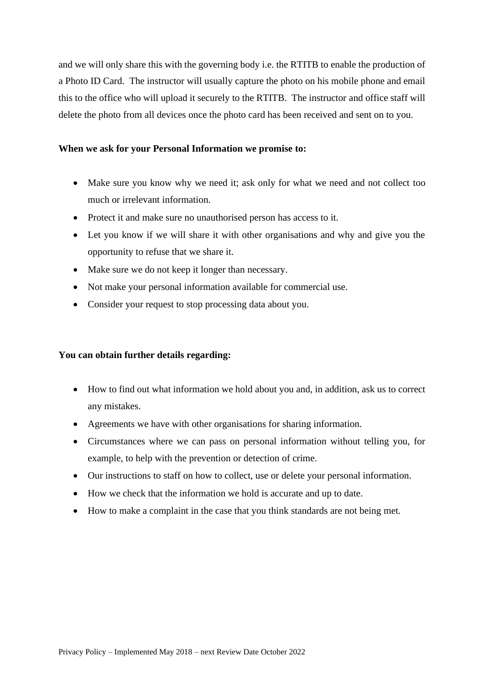and we will only share this with the governing body i.e. the RTITB to enable the production of a Photo ID Card. The instructor will usually capture the photo on his mobile phone and email this to the office who will upload it securely to the RTITB. The instructor and office staff will delete the photo from all devices once the photo card has been received and sent on to you.

## **When we ask for your Personal Information we promise to:**

- Make sure you know why we need it; ask only for what we need and not collect too much or irrelevant information.
- Protect it and make sure no unauthorised person has access to it.
- Let you know if we will share it with other organisations and why and give you the opportunity to refuse that we share it.
- Make sure we do not keep it longer than necessary.
- Not make your personal information available for commercial use.
- Consider your request to stop processing data about you.

# **You can obtain further details regarding:**

- How to find out what information we hold about you and, in addition, ask us to correct any mistakes.
- Agreements we have with other organisations for sharing information.
- Circumstances where we can pass on personal information without telling you, for example, to help with the prevention or detection of crime.
- Our instructions to staff on how to collect, use or delete your personal information.
- How we check that the information we hold is accurate and up to date.
- How to make a complaint in the case that you think standards are not being met.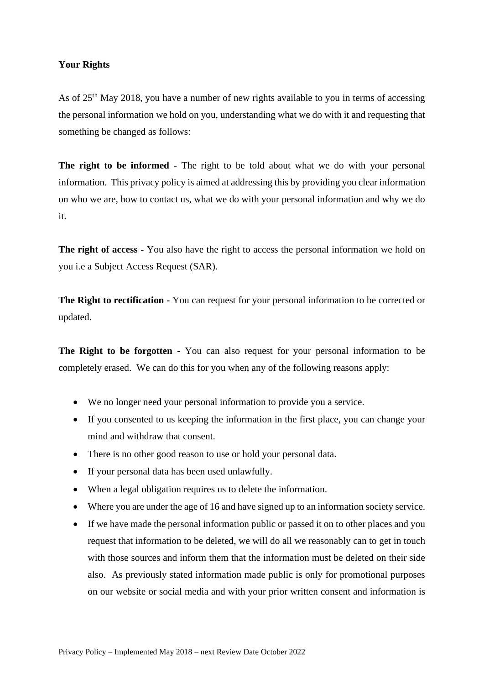# **Your Rights**

As of  $25<sup>th</sup>$  May 2018, you have a number of new rights available to you in terms of accessing the personal information we hold on you, understanding what we do with it and requesting that something be changed as follows:

**The right to be informed** - The right to be told about what we do with your personal information. This privacy policy is aimed at addressing this by providing you clear information on who we are, how to contact us, what we do with your personal information and why we do it.

**The right of access -** You also have the right to access the personal information we hold on you i.e a Subject Access Request (SAR).

**The Right to rectification -** You can request for your personal information to be corrected or updated.

**The Right to be forgotten -** You can also request for your personal information to be completely erased. We can do this for you when any of the following reasons apply:

- We no longer need your personal information to provide you a service.
- If you consented to us keeping the information in the first place, you can change your mind and withdraw that consent.
- There is no other good reason to use or hold your personal data.
- If your personal data has been used unlawfully.
- When a legal obligation requires us to delete the information.
- Where you are under the age of 16 and have signed up to an information society service.
- If we have made the personal information public or passed it on to other places and you request that information to be deleted, we will do all we reasonably can to get in touch with those sources and inform them that the information must be deleted on their side also. As previously stated information made public is only for promotional purposes on our website or social media and with your prior written consent and information is